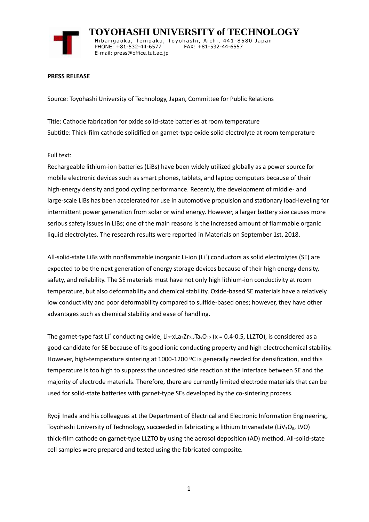

 **TOYOHASHI UNIVERSITY of TECHNOLOGY** Hibarigaoka, Tempaku, Toyohashi, Aichi, 441-8580 Japan PHONE: +81-532-44-6577 FAX: +81-532-44-6557 E-mail: press@office.tut.ac.jp

## **PRESS RELEASE**

Source: Toyohashi University of Technology, Japan, Committee for Public Relations

Title: Cathode fabrication for oxide solid-state batteries at room temperature Subtitle: Thick-film cathode solidified on garnet-type oxide solid electrolyte at room temperature

## Full text:

Rechargeable lithium-ion batteries (LiBs) have been widely utilized globally as a power source for mobile electronic devices such as smart phones, tablets, and laptop computers because of their high-energy density and good cycling performance. Recently, the development of middle- and large-scale LiBs has been accelerated for use in automotive propulsion and stationary load-leveling for intermittent power generation from solar or wind energy. However, a larger battery size causes more serious safety issues in LIBs; one of the main reasons is the increased amount of flammable organic liquid electrolytes. The research results were reported in Materials on September 1st, 2018.

All-solid-state LiBs with nonflammable inorganic Li-ion (Li<sup>+</sup>) conductors as solid electrolytes (SE) are expected to be the next generation of energy storage devices because of their high energy density, safety, and reliability. The SE materials must have not only high lithium-ion conductivity at room temperature, but also deformability and chemical stability. Oxide-based SE materials have a relatively low conductivity and poor deformability compared to sulfide-based ones; however, they have other advantages such as chemical stability and ease of handling.

The garnet-type fast Li<sup>+</sup> conducting oxide, Li<sub>7</sub>-xLa<sub>3</sub>Zr<sub>2-x</sub>Ta<sub>x</sub>O<sub>12</sub> (x = 0.4-0.5, LLZTO), is considered as a good candidate for SE because of its good ionic conducting property and high electrochemical stability. However, high-temperature sintering at 1000-1200 °C is generally needed for densification, and this temperature is too high to suppress the undesired side reaction at the interface between SE and the majority of electrode materials. Therefore, there are currently limited electrode materials that can be used for solid-state batteries with garnet-type SEs developed by the co-sintering process.

Ryoji Inada and his colleagues at the Department of Electrical and Electronic Information Engineering, Toyohashi University of Technology, succeeded in fabricating a lithium trivanadate (LiV<sub>3</sub>O<sub>8</sub>, LVO) thick-film cathode on garnet-type LLZTO by using the aerosol deposition (AD) method. All-solid-state cell samples were prepared and tested using the fabricated composite.

1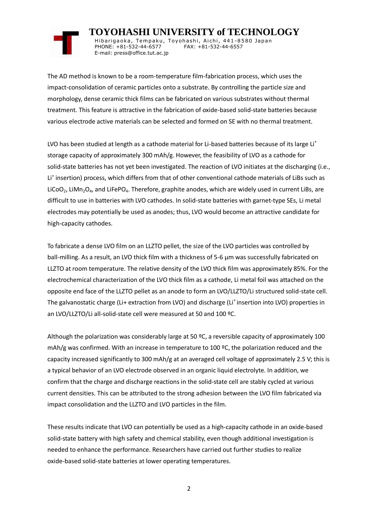## **TOYOHASHI UNIVERSITY of TECHNOLOGY**

Hibarigaoka, Tempaku, Toyohashi, Aichi, 441-8580 Japan PHONE: +81-532-44-6577 FAX: +81-532-44-6557 E-mail: press@office.tut.ac.jp

The AD method is known to be a room-temperature film-fabrication process, which uses the impact-consolidation of ceramic particles onto a substrate. By controlling the particle size and morphology, dense ceramic thick films can be fabricated on various substrates without thermal treatment. This feature is attractive in the fabrication of oxide-based solid-state batteries because various electrode active materials can be selected and formed on SE with no thermal treatment.

LVO has been studied at length as a cathode material for Li-based batteries because of its large Li<sup>+</sup> storage capacity of approximately 300 mAh/g. However, the feasibility of LVO as a cathode for solid-state batteries has not yet been investigated. The reaction of LVO initiates at the discharging (i.e., Li<sup>+</sup> insertion) process, which differs from that of other conventional cathode materials of LiBs such as LiCoO<sub>2</sub>, LiMn<sub>2</sub>O<sub>4</sub>, and LiFePO<sub>4</sub>. Therefore, graphite anodes, which are widely used in current LiBs, are difficult to use in batteries with LVO cathodes. In solid-state batteries with garnet-type SEs, Li metal electrodes may potentially be used as anodes; thus, LVO would become an attractive candidate for high-capacity cathodes.

To fabricate a dense LVO film on an LLZTO pellet, the size of the LVO particles was controlled by ball-milling. As a result, an LVO thick film with a thickness of 5-6 µm was successfully fabricated on LLZTO at room temperature. The relative density of the LVO thick film was approximately 85%. For the electrochemical characterization of the LVO thick film as a cathode, Li metal foil was attached on the opposite end face of the LLZTO pellet as an anode to form an LVO/LLZTO/Li structured solid-state cell. The galvanostatic charge (Li+ extraction from LVO) and discharge (Li<sup>+</sup> insertion into LVO) properties in an LVO/LLZTO/Li all-solid-state cell were measured at 50 and 100 ºC.

Although the polarization was considerably large at 50 ºC, a reversible capacity of approximately 100 mAh/g was confirmed. With an increase in temperature to 100 ºC, the polarization reduced and the capacity increased significantly to 300 mAh/g at an averaged cell voltage of approximately 2.5 V; this is a typical behavior of an LVO electrode observed in an organic liquid electrolyte. In addition, we confirm that the charge and discharge reactions in the solid-state cell are stably cycled at various current densities. This can be attributed to the strong adhesion between the LVO film fabricated via impact consolidation and the LLZTO and LVO particles in the film.

These results indicate that LVO can potentially be used as a high-capacity cathode in an oxide-based solid-state battery with high safety and chemical stability, even though additional investigation is needed to enhance the performance. Researchers have carried out further studies to realize oxide-based solid-state batteries at lower operating temperatures.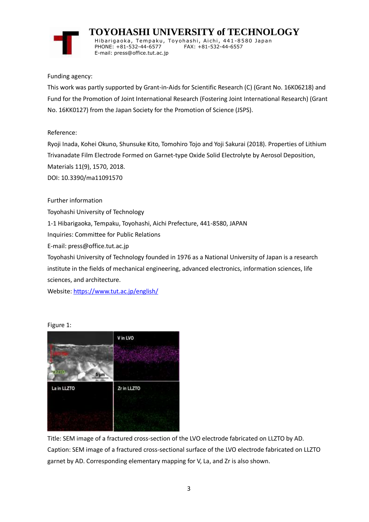

 **TOYOHASHI UNIVERSITY of TECHNOLOGY** Hibarigaoka, Tempaku, Toyohashi, Aichi, 441-8580 Japan PHONE: +81-532-44-6577 FAX: +81-532-44-6557 E-mail: press@office.tut.ac.jp

Funding agency:

This work was partly supported by Grant-in-Aids for Scientific Research (C) (Grant No. 16K06218) and Fund for the Promotion of Joint International Research (Fostering Joint International Research) (Grant No. 16KK0127) from the Japan Society for the Promotion of Science (JSPS).

Reference:

Ryoji Inada, Kohei Okuno, Shunsuke Kito, Tomohiro Tojo and Yoji Sakurai (2018). Properties of Lithium Trivanadate Film Electrode Formed on Garnet-type Oxide Solid Electrolyte by Aerosol Deposition, Materials 11(9), 1570, 2018.

DOI: 10.3390/ma11091570

Further information

Toyohashi University of Technology

1-1 Hibarigaoka, Tempaku, Toyohashi, Aichi Prefecture, 441-8580, JAPAN

Inquiries: Committee for Public Relations

E-mail: press@office.tut.ac.jp

Toyohashi University of Technology founded in 1976 as a National University of Japan is a research institute in the fields of mechanical engineering, advanced electronics, information sciences, life sciences, and architecture.

Website[: https://www.tut.ac.jp/english/](https://www.tut.ac.jp/english/)

Figure 1:



Title: SEM image of a fractured cross-section of the LVO electrode fabricated on LLZTO by AD. Caption: SEM image of a fractured cross-sectional surface of the LVO electrode fabricated on LLZTO garnet by AD. Corresponding elementary mapping for V, La, and Zr is also shown.